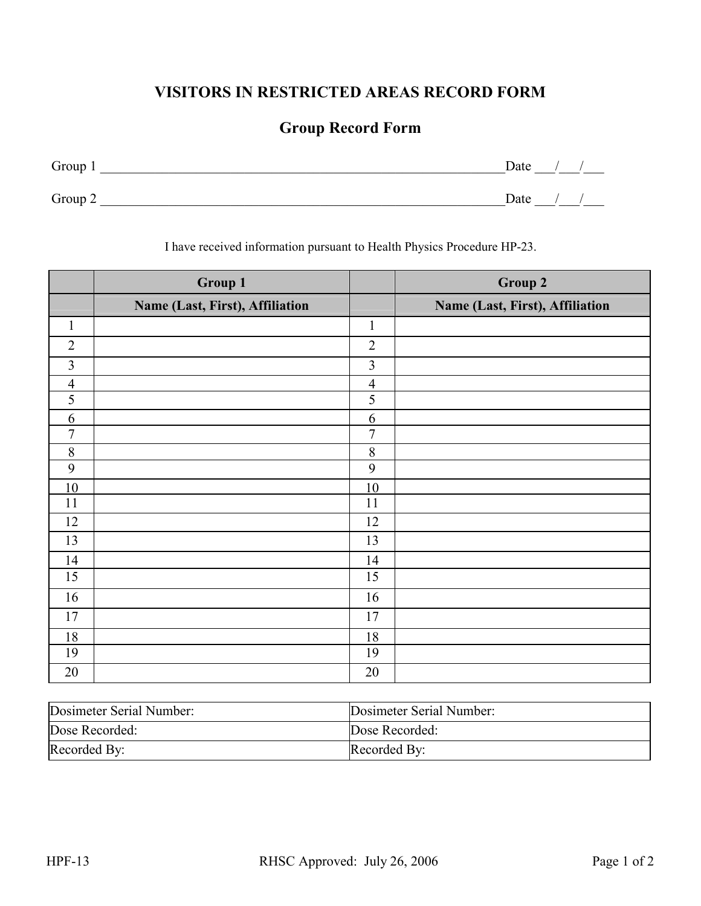## VISITORS IN RESTRICTED AREAS RECORD FORM

## Group Record Form

| Group 1 | Date |
|---------|------|
| Group 2 | Date |

I have received information pursuant to Health Physics Procedure HP-23.

|                | <b>Group 1</b>                  |                | <b>Group 2</b>                  |
|----------------|---------------------------------|----------------|---------------------------------|
|                | Name (Last, First), Affiliation |                | Name (Last, First), Affiliation |
| $\mathbf{1}$   |                                 | $\mathbf{1}$   |                                 |
| $\overline{2}$ |                                 | $\overline{2}$ |                                 |
| $\overline{3}$ |                                 | $\overline{3}$ |                                 |
| $\overline{4}$ |                                 | $\overline{4}$ |                                 |
| 5              |                                 | $\overline{5}$ |                                 |
| 6              |                                 | 6              |                                 |
| $\overline{7}$ |                                 | $\overline{7}$ |                                 |
| $8\,$          |                                 | $\,8\,$        |                                 |
| 9              |                                 | 9              |                                 |
| 10             |                                 | 10             |                                 |
| 11             |                                 | 11             |                                 |
| 12             |                                 | 12             |                                 |
| 13             |                                 | 13             |                                 |
| 14             |                                 | 14             |                                 |
| 15             |                                 | 15             |                                 |
| 16             |                                 | 16             |                                 |
| 17             |                                 | 17             |                                 |
| 18             |                                 | 18             |                                 |
| 19             |                                 | 19             |                                 |
| 20             |                                 | 20             |                                 |

| Dosimeter Serial Number: | Dosimeter Serial Number: |
|--------------------------|--------------------------|
| Dose Recorded:           | Dose Recorded:           |
| Recorded By:             | Recorded By:             |